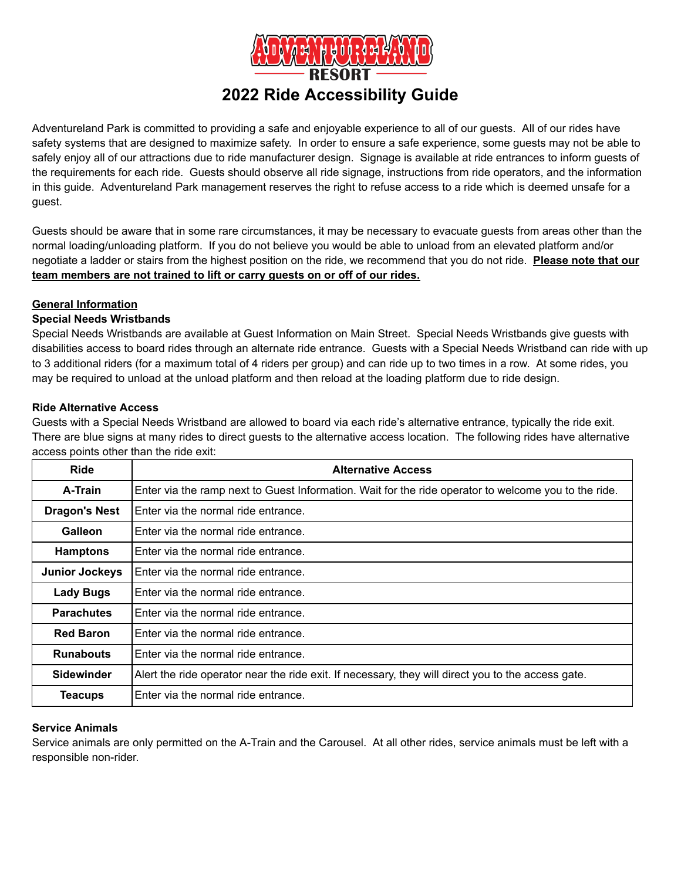

# **2022 Ride Accessibility Guide**

Adventureland Park is committed to providing a safe and enjoyable experience to all of our guests. All of our rides have safety systems that are designed to maximize safety. In order to ensure a safe experience, some guests may not be able to safely enjoy all of our attractions due to ride manufacturer design. Signage is available at ride entrances to inform guests of the requirements for each ride. Guests should observe all ride signage, instructions from ride operators, and the information in this guide. Adventureland Park management reserves the right to refuse access to a ride which is deemed unsafe for a guest.

Guests should be aware that in some rare circumstances, it may be necessary to evacuate guests from areas other than the normal loading/unloading platform. If you do not believe you would be able to unload from an elevated platform and/or negotiate a ladder or stairs from the highest position on the ride, we recommend that you do not ride. **Please note that our team members are not trained to lift or carry guests on or off of our rides.**

# **General Information**

# **Special Needs Wristbands**

Special Needs Wristbands are available at Guest Information on Main Street. Special Needs Wristbands give guests with disabilities access to board rides through an alternate ride entrance. Guests with a Special Needs Wristband can ride with up to 3 additional riders (for a maximum total of 4 riders per group) and can ride up to two times in a row. At some rides, you may be required to unload at the unload platform and then reload at the loading platform due to ride design.

#### **Ride Alternative Access**

Guests with a Special Needs Wristband are allowed to board via each ride's alternative entrance, typically the ride exit. There are blue signs at many rides to direct guests to the alternative access location. The following rides have alternative access points other than the ride exit:

| <b>Ride</b>           | <b>Alternative Access</b>                                                                            |
|-----------------------|------------------------------------------------------------------------------------------------------|
| A-Train               | Enter via the ramp next to Guest Information. Wait for the ride operator to welcome you to the ride. |
| <b>Dragon's Nest</b>  | Enter via the normal ride entrance.                                                                  |
| Galleon               | Enter via the normal ride entrance.                                                                  |
| <b>Hamptons</b>       | Enter via the normal ride entrance.                                                                  |
| <b>Junior Jockeys</b> | Enter via the normal ride entrance.                                                                  |
| <b>Lady Bugs</b>      | Enter via the normal ride entrance.                                                                  |
| <b>Parachutes</b>     | Enter via the normal ride entrance.                                                                  |
| <b>Red Baron</b>      | Enter via the normal ride entrance.                                                                  |
| <b>Runabouts</b>      | Enter via the normal ride entrance.                                                                  |
| <b>Sidewinder</b>     | Alert the ride operator near the ride exit. If necessary, they will direct you to the access gate.   |
| Teacups               | Enter via the normal ride entrance.                                                                  |

# **Service Animals**

Service animals are only permitted on the A-Train and the Carousel. At all other rides, service animals must be left with a responsible non-rider.